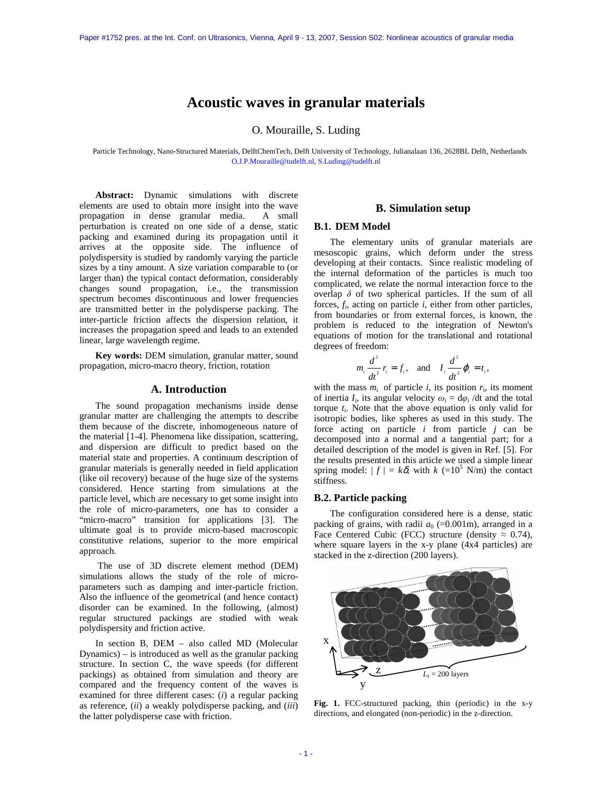# **Acoustic waves in granular materials**

O. Mouraille, S. Luding

Particle Technology, Nano-Structured Materials, DelftChemTech, Delft University of Technology, Julianalaan 136, 2628BL Delft, Netherlands O.J.P.Mouraille@tudelft.nl, S.Luding@tudelft.nl

**Abstract:** Dynamic simulations with discrete elements are used to obtain more insight into the wave propagation in dense granular media. A small perturbation is created on one side of a dense, static packing and examined during its propagation until it arrives at the opposite side. The influence of polydispersity is studied by randomly varying the particle sizes by a tiny amount. A size variation comparable to (or larger than) the typical contact deformation, considerably changes sound propagation, i.e., the transmission spectrum becomes discontinuous and lower frequencies are transmitted better in the polydisperse packing. The inter-particle friction affects the dispersion relation, it increases the propagation speed and leads to an extended linear, large wavelength regime.

**Key words:** DEM simulation, granular matter, sound propagation, micro-macro theory, friction, rotation

#### **A. Introduction**

The sound propagation mechanisms inside dense granular matter are challenging the attempts to describe them because of the discrete, inhomogeneous nature of the material [1-4]. Phenomena like dissipation, scattering, and dispersion are difficult to predict based on the material state and properties. A continuum description of granular materials is generally needed in field application (like oil recovery) because of the huge size of the systems considered. Hence starting from simulations at the particle level, which are necessary to get some insight into the role of micro-parameters, one has to consider a "micro-macro" transition for applications [3]. The ultimate goal is to provide micro-based macroscopic constitutive relations, superior to the more empirical approach.

 The use of 3D discrete element method (DEM) simulations allows the study of the role of microparameters such as damping and inter-particle friction. Also the influence of the geometrical (and hence contact) disorder can be examined. In the following, (almost) regular structured packings are studied with weak polydispersity and friction active.

In section B, DEM – also called MD (Molecular Dynamics) – is introduced as well as the granular packing structure. In section C, the wave speeds (for different packings) as obtained from simulation and theory are compared and the frequency content of the waves is examined for three different cases: (*i*) a regular packing as reference, (*ii*) a weakly polydisperse packing, and (*iii*) the latter polydisperse case with friction.

## **B. Simulation setup**

#### **B.1. DEM Model**

The elementary units of granular materials are mesoscopic grains, which deform under the stress developing at their contacts. Since realistic modeling of the internal deformation of the particles is much too complicated, we relate the normal interaction force to the overlap  $\delta$  of two spherical particles. If the sum of all forces, *f*<sup>i</sup> , acting on particle *i*, either from other particles, from boundaries or from external forces, is known, the problem is reduced to the integration of Newton's equations of motion for the translational and rotational degrees of freedom:

$$
m_i \frac{d^2}{dt^2} r_i = f_i, \text{ and } I_i \frac{d^2}{dt^2} \varphi_i = t_i,
$$

with the mass  $m_i$  of particle *i*, its position  $r_i$ , its moment of inertia  $I_i$ , its angular velocity  $\omega_i = d\varphi_i/dt$  and the total torque *t*<sup>i</sup> . Note that the above equation is only valid for isotropic bodies, like spheres as used in this study. The force acting on particle *i* from particle *j* can be decomposed into a normal and a tangential part; for a detailed description of the model is given in Ref. [5]. For the results presented in this article we used a simple linear spring model:  $| f | = k\delta$ , with  $k (=10^5 \text{ N/m})$  the contact stiffness.

#### **B.2. Particle packing**

The configuration considered here is a dense, static packing of grains, with radii  $a_0$  (=0.001m), arranged in a Face Centered Cubic (FCC) structure (density  $\approx 0.74$ ), where square layers in the x-y plane (4x4 particles) are stacked in the z-direction (200 layers).



**Fig. 1.** FCC-structured packing, thin (periodic) in the x-y directions, and elongated (non-periodic) in the z-direction.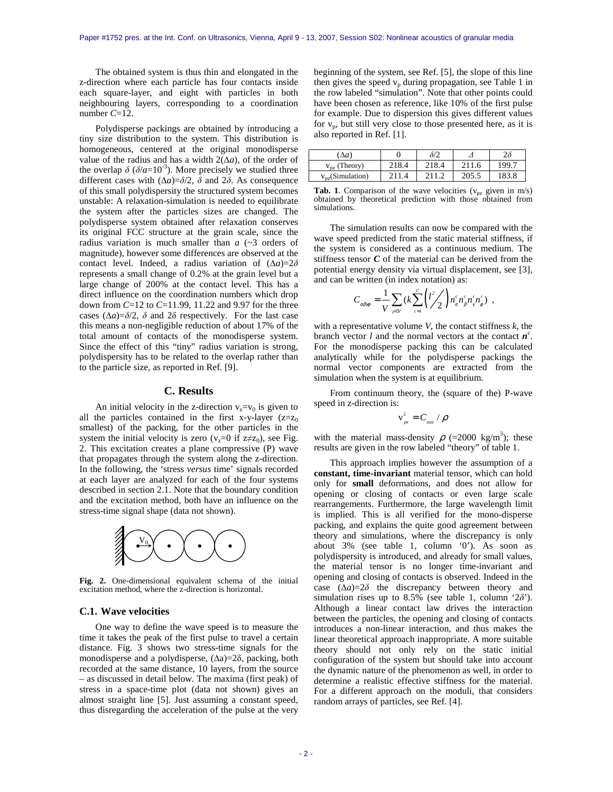The obtained system is thus thin and elongated in the z-direction where each particle has four contacts inside each square-layer, and eight with particles in both neighbouring layers, corresponding to a coordination number *C*=12.

Polydisperse packings are obtained by introducing a tiny size distribution to the system. This distribution is homogeneous, centered at the original monodisperse value of the radius and has a width 2(∆*a*), of the order of the overlap  $\delta$  ( $\delta/a=10^{-3}$ ). More precisely we studied three different cases with  $(\Delta a)=\delta/2$ ,  $\delta$  and  $2\delta$ . As consequence of this small polydispersity the structured system becomes unstable: A relaxation-simulation is needed to equilibrate the system after the particles sizes are changed. The polydisperse system obtained after relaxation conserves its original FCC structure at the grain scale, since the radius variation is much smaller than  $a$   $(\sim 3$  orders of magnitude), however some differences are observed at the contact level. Indeed, a radius variation of  $(\Delta a)=2\delta$ represents a small change of 0.2% at the grain level but a large change of 200% at the contact level. This has a direct influence on the coordination numbers which drop down from *C*=12 to *C*=11.99, 11.22 and 9.97 for the three cases ( $\Delta a$ )= $\delta/2$ ,  $\delta$  and 2 $\delta$  respectively. For the last case this means a non-negligible reduction of about 17% of the total amount of contacts of the monodisperse system. Since the effect of this "tiny" radius variation is strong, polydispersity has to be related to the overlap rather than to the particle size, as reported in Ref. [9].

# **C. Results**

An initial velocity in the z-direction  $v_z = v_0$  is given to all the particles contained in the first x-y-layer  $(z=z_0)$ smallest) of the packing, for the other particles in the system the initial velocity is zero ( $v_z=0$  if  $z\neq z_0$ ), see Fig. 2. This excitation creates a plane compressive (P) wave that propagates through the system along the z-direction. In the following, the 'stress *versus* time' signals recorded at each layer are analyzed for each of the four systems described in section 2.1. Note that the boundary condition and the excitation method, both have an influence on the stress-time signal shape (data not shown).



**Fig. 2.** One-dimensional equivalent schema of the initial excitation method, where the z-direction is horizontal.

#### **C.1. Wave velocities**

One way to define the wave speed is to measure the time it takes the peak of the first pulse to travel a certain distance. Fig. 3 shows two stress-time signals for the monodisperse and a polydisperse, (∆a)=2δ, packing, both recorded at the same distance, 10 layers, from the source – as discussed in detail below. The maxima (first peak) of stress in a space-time plot (data not shown) gives an almost straight line [5]. Just assuming a constant speed, thus disregarding the acceleration of the pulse at the very

beginning of the system, see Ref. [5], the slope of this line then gives the speed  $v_p$  during propagation, see Table 1 in the row labeled "simulation". Note that other points could have been chosen as reference, like 10% of the first pulse for example. Due to dispersion this gives different values for  $v_p$ , but still very close to those presented here, as it is also reported in Ref. [1].

| $\Delta a$            |                  | $\frac{1}{2}$ |           | 2δ    |
|-----------------------|------------------|---------------|-----------|-------|
| (Theory)<br>$V_{DZ}$  | 218.4            | 218.4         | 211.<br>6 | 199.7 |
| $v_{pz}$ (Simulation) | 211<br>$\Lambda$ | 211           | 205.5     | 183.8 |

**Tab. 1**. Comparison of the wave velocities ( $v_{pz}$  given in m/s) obtained by theoretical prediction with those obtained from simulations.

The simulation results can now be compared with the wave speed predicted from the static material stiffness, if the system is considered as a continuous medium. The stiffness tensor *C* of the material can be derived from the potential energy density via virtual displacement, see [3], and can be written (in index notation) as:

$$
C_{\alpha\beta\gamma\phi} = \frac{1}{V} \sum_{p \in V} (k \sum_{c=1}^{C} \left( \frac{l^2}{2} \right) n_{\alpha}^c n_{\beta}^c n_{\gamma}^c n_{\phi}^c) ,
$$

with a representative volume *V*, the contact stiffness *k*, the branch vector  $l$  and the normal vectors at the contact  $n^c$ . For the monodisperse packing this can be calculated analytically while for the polydisperse packings the normal vector components are extracted from the simulation when the system is at equilibrium.

From continuum theory, the (square of the) P-wave speed in z-direction is:

$$
v_{_{px}}^2 = C_{_{zzzz}} / \rho
$$

with the material mass-density  $\rho$  (=2000 kg/m<sup>3</sup>); these results are given in the row labeled "theory" of table 1.

This approach implies however the assumption of a **constant, time-invariant** material tensor, which can hold only for **small** deformations, and does not allow for opening or closing of contacts or even large scale rearrangements. Furthermore, the large wavelength limit is implied. This is all verified for the mono-disperse packing, and explains the quite good agreement between theory and simulations, where the discrepancy is only about 3% (see table 1, column '0'). As soon as polydispersity is introduced, and already for small values, the material tensor is no longer time-invariant and opening and closing of contacts is observed. Indeed in the case  $(\Delta a)=2\delta$  the discrepancy between theory and simulation rises up to 8.5% (see table 1, column ' $2\delta$ '). Although a linear contact law drives the interaction between the particles, the opening and closing of contacts introduces a non-linear interaction, and thus makes the linear theoretical approach inappropriate. A more suitable theory should not only rely on the static initial configuration of the system but should take into account the dynamic nature of the phenomenon as well, in order to determine a realistic effective stiffness for the material. For a different approach on the moduli, that considers random arrays of particles, see Ref. [4].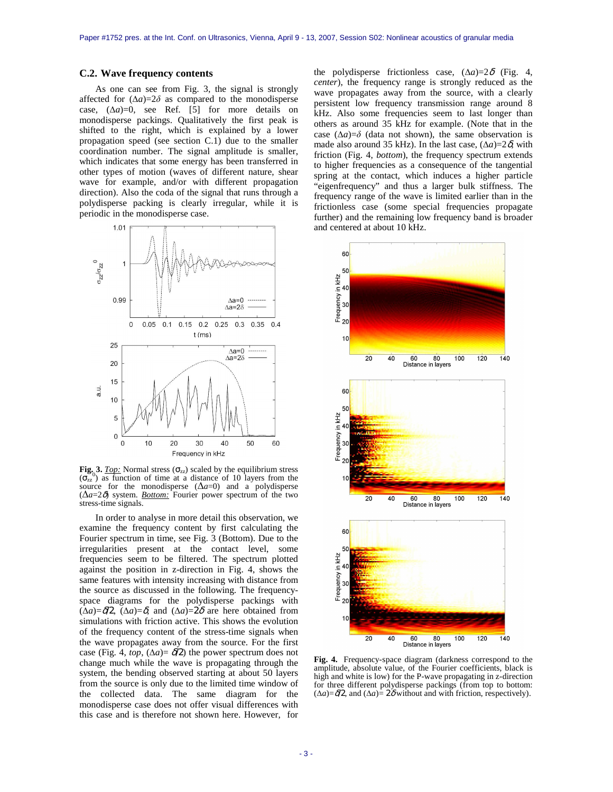#### **C.2. Wave frequency contents**

As one can see from Fig. 3, the signal is strongly affected for  $(\Delta a)=2\delta$  as compared to the monodisperse case,  $(\Delta a)=0$ , see Ref. [5] for more details on monodisperse packings. Qualitatively the first peak is shifted to the right, which is explained by a lower propagation speed (see section C.1) due to the smaller coordination number. The signal amplitude is smaller, which indicates that some energy has been transferred in other types of motion (waves of different nature, shear wave for example, and/or with different propagation direction). Also the coda of the signal that runs through a polydisperse packing is clearly irregular, while it is periodic in the monodisperse case.



**Fig. 3.** *Top:* Normal stress  $(\sigma_{zz})$  scaled by the equilibrium stress  $(\sigma_{zz}^{\circ})$  as function of time at a distance of 10 layers from the source for the monodisperse  $(\Delta a=0)$  and a polydisperse (∆*a*=2δ) system. *Bottom:* Fourier power spectrum of the two stress-time signals.

In order to analyse in more detail this observation, we examine the frequency content by first calculating the Fourier spectrum in time, see Fig. 3 (Bottom). Due to the irregularities present at the contact level, some frequencies seem to be filtered. The spectrum plotted against the position in z-direction in Fig. 4, shows the same features with intensity increasing with distance from the source as discussed in the following. The frequencyspace diagrams for the polydisperse packings with (∆*a*)=δ/2, (∆*a*)=δ, and (∆*a*)=2δ are here obtained from simulations with friction active. This shows the evolution of the frequency content of the stress-time signals when the wave propagates away from the source. For the first case (Fig. 4, *top*,  $(\Delta a) = \delta/2$ ) the power spectrum does not change much while the wave is propagating through the system, the bending observed starting at about 50 layers from the source is only due to the limited time window of the collected data. The same diagram for the monodisperse case does not offer visual differences with this case and is therefore not shown here. However, for

the polydisperse frictionless case,  $(\Delta a)=2\delta$  (Fig. 4, *center*), the frequency range is strongly reduced as the wave propagates away from the source, with a clearly persistent low frequency transmission range around 8 kHz. Also some frequencies seem to last longer than others as around 35 kHz for example. (Note that in the case  $(\Delta a)=\delta$  (data not shown), the same observation is made also around 35 kHz). In the last case,  $(\Delta a)=2\delta$ , with friction (Fig. 4, *bottom*), the frequency spectrum extends to higher frequencies as a consequence of the tangential spring at the contact, which induces a higher particle "eigenfrequency" and thus a larger bulk stiffness. The frequency range of the wave is limited earlier than in the frictionless case (some special frequencies propagate further) and the remaining low frequency band is broader and centered at about 10 kHz.



**Fig. 4.** Frequency-space diagram (darkness correspond to the amplitude, absolute value, of the Fourier coefficients, black is high and white is low) for the P-wave propagating in z-direction for three different polydisperse packings (from top to bottom:  $(\Delta a) = \delta/2$ , and  $(\Delta a) = 2\delta$  without and with friction, respectively).